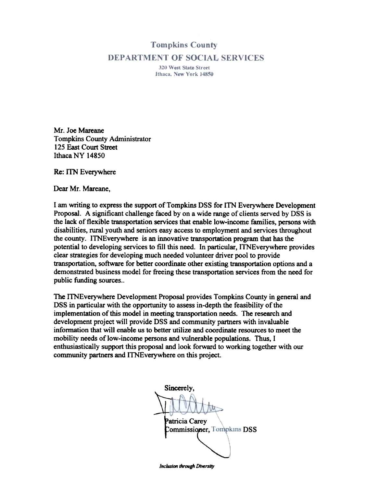## **Tompkins County DEPARTMENT OF SOCIAL SERVICES**

320 West State Street Ithaca, New York 14850

Mr. Joe Mareane Tompkins County Administrator 125 East Court Street Ithaca NY 14850

Re: ITN Everywhere

Dear Mr. Mareane,

I am writing to express the support of Tompkins DSS for ITN Everywhere Development Proposal. A significant challenge faced by on a wide range of clients served by DSS is the lack of flexible transportation services that enable low-income families, persons with disabilities, rural youth and seniors easy access to employment and services throughout the county. ITNEverywhere is an innovative transportation program that has the potential to developing services to fill this need. In particular, ITNEverywhere provides clear strategies for developing much needed volunteer driver pool to provide transportation, software for better coordinate other existing transportation options and a demonstrated business model for freeing these transportation services from the need for public funding sources..

The ITNEverywhere Development Proposal provides Tompkins County in general and DSS in particular with the opportunity to assess in-depth the feasibility of the implementation of this model in meeting transportation needs. The research and development project will provide DSS and community partners with invaluable information that will enable us to better utilize and coordinate resources to meet the mobility needs of low-income persons and vulnerable populations. Thus, I enthusiastically support this proposal and look forward to working together with our community partners and ITNEverywhere on this project.

Sincerely, Patricia Carey OmmiSSi~ Commissioner, Tompkins DSS ~

Inclusion through Diversity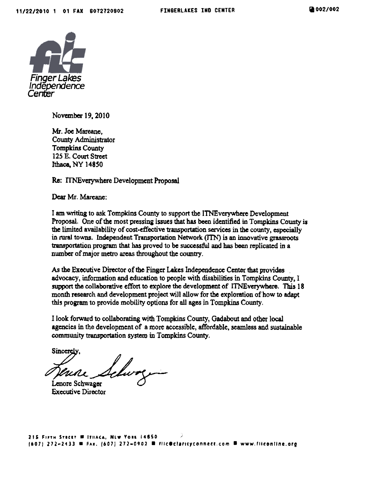

November 19, 2010

Mr. Joe Mareanc, County Administrator Tompkins County 125 E. Court Street Ithaca, NY 14850

Re: ITNEverywhere Development Proposal

Dear Mr. Mareane:

I am writing to ask Tompkins County to support the ITNEverywhere Development Proposal. One of the most pressing issues that has been identified in Tompkins County is the limited availability of cost-effective transportation services in the county, especially in rural towns. Independent Transportation Network (JTN) is an innovative grassroots transportation program that has provcd to be successful and bas been replicated in a number of major metro areas throughout the country.

As the Executive Director of the Finger Lakes Independence Center that provides advocacy, information and education to people with disabilities in Tompkins County, I support the collaborative effort to explore the development of ITNEverywbere. This 18 month research and development project will allow for the exploration of how to adapt this program to provide mobility options for all ages in Tompkins County.

I look forward to collaborating with Tompkins County, Gadabout and other local agencies in the development of a more accessible, affordable. seamless and sustainable community transportation system in Tompkins County.

Sincerely.<br>Sincerely.<br>Denone Schwager

Executivc Director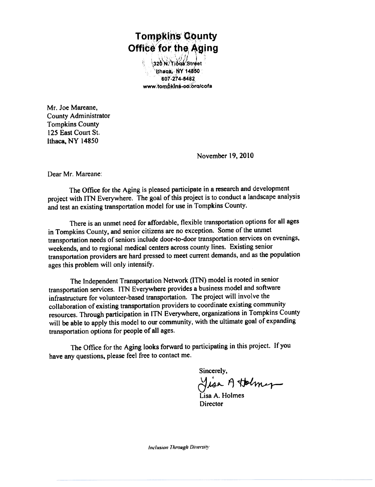## Tompkins County , $j$  is  $\mathcal{F}$  . Then Office for the Agin

 $320^{\prime}$ N. Tioga Stree 'lthaca, NY 14850 c ",... <u>. 291</u>226 and 601..214.548~" www.tompkins-co.org/cofa

Mr. Joe Mareane, County Administrator Tompkins County 125 East Court St. Ithaca, NY 14850

November 19,2010

Dear Mr. Mareane:

The Office for the Aging is pleased participate in a research and development project with ITN Everywhere. The goal of this project is to conduct a landscape analysis and test an existing transportation model for use in Tompkins County.

There is an unmet need for affordable, flexible transportation options for all ages in Tompkins County, and senior citizens are no exception. Some of the unmet transportation needs of seniors include door-to-door transportation services on evenings, weekends, and to regional medical centers across county lines. Existing senior transportation providers are hard pressed to meet current demands, and as the population ages this problem will only intensify.

The Independent Transportation Network (ITN) model is rooted in senior transportation services. [TN Everywhere provides a business model and software infrastructure for volunteer-based transportation. The project will involve the collaboration of existing transportation providers to coordinate existing community resources. Through participation in ITN Everywhere, organizations in Tompkins County will be able to apply this model to our community, with the ultimate goal of expanding transportation options for people of all ages.

The Office for the Aging looks forward to participating in this project. If you have any questions. please feel free to contact me.

Sincerely,

Jisa Attolmy

Lisa A. Holmes **Director** 

Inclusion Through Diversity